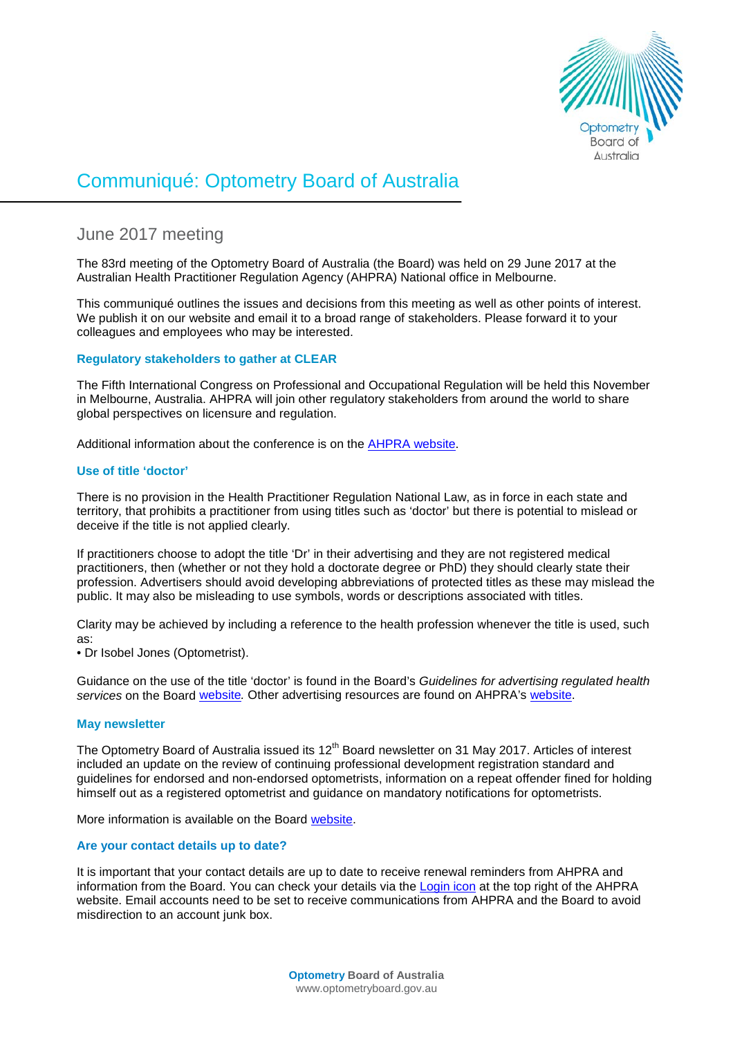

# Communiqué: Optometry Board of Australia

# June 2017 meeting

The 83rd meeting of the Optometry Board of Australia (the Board) was held on 29 June 2017 at the Australian Health Practitioner Regulation Agency (AHPRA) National office in Melbourne.

This communiqué outlines the issues and decisions from this meeting as well as other points of interest. We publish it on our website and email it to a broad range of stakeholders. Please forward it to your colleagues and employees who may be interested.

## **Regulatory stakeholders to gather at CLEAR**

The Fifth International Congress on Professional and Occupational Regulation will be held this November in Melbourne, Australia. AHPRA will join other regulatory stakeholders from around the world to share global perspectives on licensure and regulation.

Additional information about the conference is on the AHPRA website.

#### **Use of title 'doctor'**

There is no provision in the Health Practitioner Regulation National Law, as in force in each state and territory, that prohibits a practitioner from using titles such as 'doctor' but there is potential to mislead or deceive if the title is not applied clearly.

If practitioners choose to adopt the title 'Dr' in their advertising and they are not registered medical practitioners, then (whether or not they hold a doctorate degree or PhD) they should clearly state their profession. Advertisers should avoid developing abbreviations of protected titles as these may mislead the public. It may also be misleading to use symbols, words or descriptions associated with titles.

Clarity may be achieved by including a reference to the health profession whenever the title is used, such as:

• Dr Isobel Jones (Optometrist).

Guidance on the use of the title 'doctor' is found in the Board's *Guidelines for advertising regulated health services* on the Board [website](http://www.optometryboard.gov.au/Policies-Codes-Guidelines.aspx)*.* Other advertising resources are found on AHPRA's [website.](https://www.ahpra.gov.au/Publications/Advertising-resources.aspx)

## **May newsletter**

The Optometry Board of Australia issued its 12<sup>th</sup> Board newsletter on 31 May 2017. Articles of interest included an update on the review of continuing professional development registration standard and guidelines for endorsed and non-endorsed optometrists, information on a repeat offender fined for holding himself out as a registered optometrist and guidance on mandatory notifications for optometrists.

More information is available on the Board [website.](http://www.optometryboard.gov.au/News/Newsletters.aspx)

## **Are your contact details up to date?**

It is important that your contact details are up to date to receive renewal reminders from AHPRA and information from the Board. You can check your details via the [Login icon](https://www.ahpra.gov.au/) at the top right of the AHPRA website. Email accounts need to be set to receive communications from AHPRA and the Board to avoid misdirection to an account junk box.